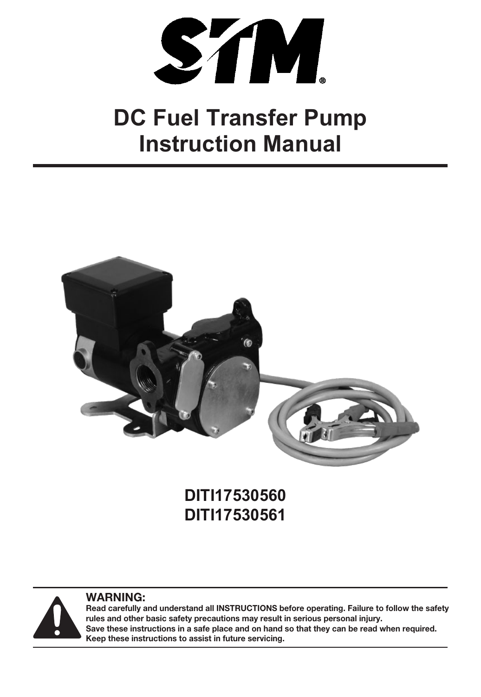

# **Instruction Manual DC Fuel Transfer Pump**



# **DITI17530560 DITI17530561**



**WARNING:** 

**Read carefully and understand all INSTRUCTIONS before operating. Failure to follow the safety rules and other basic safety precautions may result in serious personal injury. Save these instructions in a safe place and on hand so that they can be read when required. Keep these instructions to assist in future servicing.**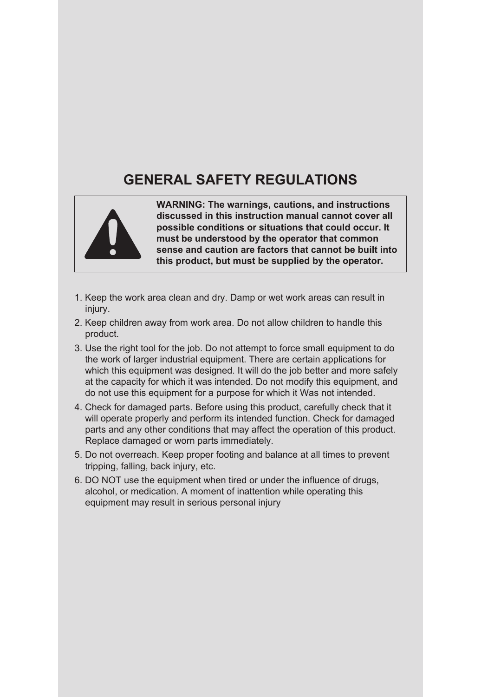# **GENERAL SAFETY REGULATIONS**



**WARNING: The warnings, cautions, and instructions discussed in this instruction manual cannot cover all possible conditions or situations that could occur. It must be understood by the operator that common sense and caution are factors that cannot be built into this product, but must be supplied by the operator.**

- 1. Keep the work area clean and dry. Damp or wet work areas can result in injury
- 2. Keep children away from work area. Do not allow children to handle this product.
- 3. Use the right tool for the job. Do not attempt to force small equipment to do the work of larger industrial equipment. There are certain applications for which this equipment was designed. It will do the job better and more safely at the capacity for which it was intended. Do not modify this equipment, and do not use this equipment for a purpose for which it Was not intended.
- 4. Check for damaged parts. Before using this product, carefully check that it will operate properly and perform its intended function. Check for damaged parts and any other conditions that may affect the operation of this product. Replace damaged or worn parts immediately.
- 5. Do not overreach. Keep proper footing and balance at all times to prevent tripping, falling, back injury, etc.
- 6. DO NOT use the equipment when tired or under the influence of drugs, alcohol, or medication. A moment of inattention while operating this equipment may result in serious personal injury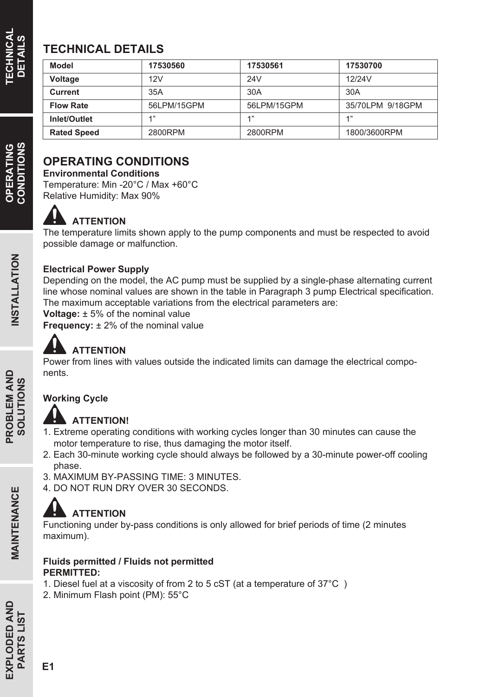# **TECHNICAL DETAILS**

| Model              | 17530560    | 17530561    | 17530700         |  |
|--------------------|-------------|-------------|------------------|--|
| Voltage            | 12V         | 24V         | 12/24V           |  |
| Current            | 35A         | 30A         | 30A              |  |
| <b>Flow Rate</b>   | 56LPM/15GPM | 56LPM/15GPM | 35/70LPM 9/18GPM |  |
| Inlet/Outlet       | 4"          | 4"          | 4"               |  |
| <b>Rated Speed</b> | 2800RPM     | 2800RPM     | 1800/3600RPM     |  |

## **OPERATING CONDITIONS**

**Environmental Conditions**

Temperature: Min -20°C / Max +60°C Relative Humidity: Max 90%

#### Ω **ATTENTION**

The temperature limits shown apply to the pump components and must be respected to avoid possible damage or malfunction.

### **Electrical Power Supply**

Depending on the model, the AC pump must be supplied by a single-phase alternating current line whose nominal values are shown in the table in Paragraph 3 pump Electrical specification. The maximum acceptable variations from the electrical parameters are:

**Voltage:** ± 5% of the nominal value

**Frequency:**  $\pm$  2% of the nominal value

# **ATTENTION**

Power from lines with values outside the indicated limits can damage the electrical components.

### **Working Cycle**

### **ATTENTION!**

- 1. Extreme operating conditions with working cycles longer than 30 minutes can cause the motor temperature to rise, thus damaging the motor itself.
- 2. Each 30-minute working cycle should always be followed by a 30-minute power-off cooling phase.
- 3. MAXIMUM BY-PASSING TIME: 3 MINUTES.
- 4. DO NOT RUN DRY OVER 30 SECONDS.

# **ATTENTION**

Functioning under by-pass conditions is only allowed for brief periods of time (2 minutes maximum).

#### **Fluids permitted / Fluids not permitted PERMITTED:**

- 1. Diesel fuel at a viscosity of from 2 to 5 cST (at a temperature of 37°C )
- 2. Minimum Flash point (PM): 55°C

**CONDITIONS** OPERATING

MAINTENANCE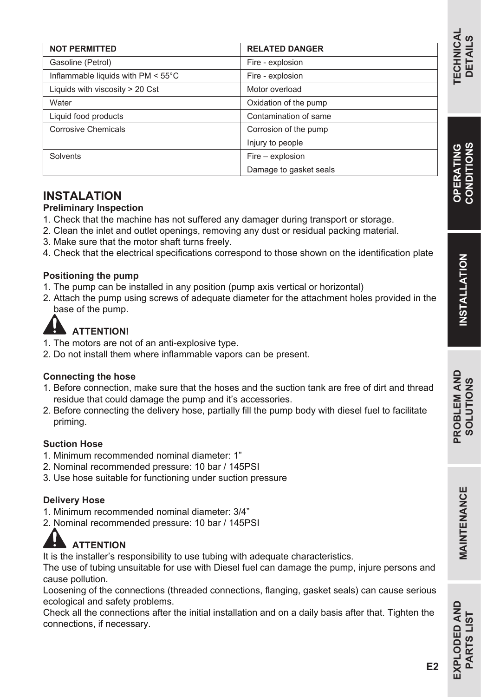**MAINTENANCE** 

| <b>IVOIFENIIII IEU</b>                       | NELAI EU UANJEN        |  |  |
|----------------------------------------------|------------------------|--|--|
| Gasoline (Petrol)                            | Fire - explosion       |  |  |
| Inflammable liquids with $PM < 55^{\circ}$ C | Fire - explosion       |  |  |
| Liquids with viscosity > 20 Cst              | Motor overload         |  |  |
| Water                                        | Oxidation of the pump  |  |  |
| Liquid food products                         | Contamination of same  |  |  |
| <b>Corrosive Chemicals</b>                   | Corrosion of the pump  |  |  |
|                                              | Injury to people       |  |  |
| Solvents                                     | Fire – explosion       |  |  |
|                                              | Damage to gasket seals |  |  |

**RELATED DANGER**

#### **INSTALATION**

**NOT PERMITTED**

#### **Preliminary Inspection**

- 1. Check that the machine has not suffered any damager during transport or storage.
- 2. Clean the inlet and outlet openings, removing any dust or residual packing material.
- 3. Make sure that the motor shaft turns freely.
- 4. Check that the electrical specifications correspond to those shown on the identification plate

#### **Positioning the pump**

- 1. The pump can be installed in any position (pump axis vertical or horizontal)
- 2. Attach the pump using screws of adequate diameter for the attachment holes provided in the base of the pump.

# **ATTENTION!**

- 1. The motors are not of an anti-explosive type.
- 2. Do not install them where inflammable vapors can be present.

#### **Connecting the hose**

- 1. Before connection, make sure that the hoses and the suction tank are free of dirt and thread residue that could damage the pump and it's accessories.
- 2. Before connecting the delivery hose, partially fill the pump body with diesel fuel to facilitate priming.

#### **Suction Hose**

- 1. Minimum recommended nominal diameter: 1"
- 2. Nominal recommended pressure: 10 bar / 145PSI
- 3. Use hose suitable for functioning under suction pressure

#### **Delivery Hose**

- 1. Minimum recommended nominal diameter: 3/4"
- 2. Nominal recommended pressure: 10 bar / 145PSI

## **ATTENTION**

It is the installer's responsibility to use tubing with adequate characteristics.

The use of tubing unsuitable for use with Diesel fuel can damage the pump, injure persons and cause pollution.

Loosening of the connections (threaded connections, flanging, gasket seals) can cause serious ecological and safety problems.

Check all the connections after the initial installation and on a daily basis after that. Tighten the connections, if necessary.

**EXPLODED AND**

EXPLODED AND **TSIT SLAVC**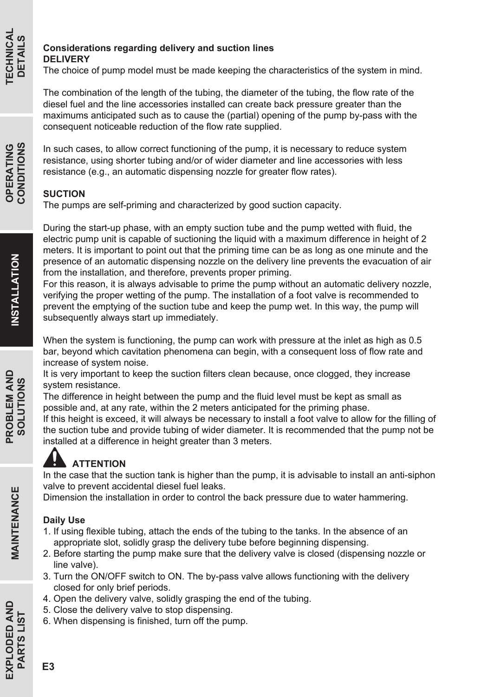#### **Considerations regarding delivery and suction lines DELIVERY**

The choice of pump model must be made keeping the characteristics of the system in mind.

The combination of the length of the tubing, the diameter of the tubing, the flow rate of the diesel fuel and the line accessories installed can create back pressure greater than the maximums anticipated such as to cause the (partial) opening of the pump by-pass with the consequent noticeable reduction of the flow rate supplied.

In such cases, to allow correct functioning of the pump, it is necessary to reduce system resistance, using shorter tubing and/or of wider diameter and line accessories with less resistance (e.g., an automatic dispensing nozzle for greater flow rates).

#### **SUCTION**

The pumps are self-priming and characterized by good suction capacity.

During the start-up phase, with an empty suction tube and the pump wetted with fluid, the electric pump unit is capable of suctioning the liquid with a maximum difference in height of 2 meters. It is important to point out that the priming time can be as long as one minute and the presence of an automatic dispensing nozzle on the delivery line prevents the evacuation of air from the installation, and therefore, prevents proper priming.

For this reason, it is always advisable to prime the pump without an automatic delivery nozzle, verifying the proper wetting of the pump. The installation of a foot valve is recommended to prevent the emptying of the suction tube and keep the pump wet. In this way, the pump will subsequently always start up immediately.

When the system is functioning, the pump can work with pressure at the inlet as high as 0.5 bar, beyond which cavitation phenomena can begin, with a consequent loss of flow rate and increase of system noise.

It is very important to keep the suction filters clean because, once clogged, they increase system resistance.

The difference in height between the pump and the fluid level must be kept as small as possible and, at any rate, within the 2 meters anticipated for the priming phase.

If this height is exceed, it will always be necessary to install a foot valve to allow for the filling of the suction tube and provide tubing of wider diameter. It is recommended that the pump not be installed at a difference in height greater than 3 meters.

### **ATTENTION**

In the case that the suction tank is higher than the pump, it is advisable to install an anti-siphon valve to prevent accidental diesel fuel leaks.

Dimension the installation in order to control the back pressure due to water hammering.

#### **Daily Use**

- 1. If using flexible tubing, attach the ends of the tubing to the tanks. In the absence of an appropriate slot, solidly grasp the delivery tube before beginning dispensing.
- 2. Before starting the pump make sure that the delivery valve is closed (dispensing nozzle or line valve).
- 3. Turn the ON/OFF switch to ON. The by-pass valve allows functioning with the delivery closed for only brief periods.
- 4. Open the delivery valve, solidly grasping the end of the tubing.
- 5. Close the delivery valve to stop dispensing.
- 6. When dispensing is finished, turn off the pump.

**EXPLODED AND**

**EXPLODED AND PARTS LIST**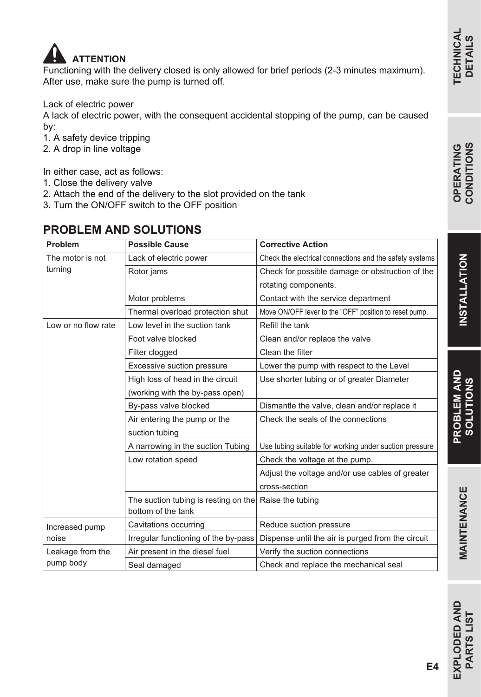

Functioning with the delivery closed is only allowed for brief periods (2-3 minutes maximum). After use, make sure the pump is turned off.

Lack of electric power

A lack of electric power, with the consequent accidental stopping of the pump, can be caused by:

- 1. A safety device tripping
- 2. A drop in line voltage

In either case, act as follows:

- 1. Close the delivery valve
- 2. Attach the end of the delivery to the slot provided on the tank
- 3. Turn the ON/OFF switch to the OFF position

### **PROBLEM AND SOLUTIONS**

| Problem                 | <b>Possible Cause</b>                                                       | <b>Corrective Action</b>                                |  |
|-------------------------|-----------------------------------------------------------------------------|---------------------------------------------------------|--|
| The motor is not        | Lack of electric power                                                      | Check the electrical connections and the safety systems |  |
| turning                 | Rotor jams                                                                  | Check for possible damage or obstruction of the         |  |
|                         |                                                                             | rotating components.                                    |  |
|                         | Motor problems                                                              | Contact with the service department                     |  |
|                         | Thermal overload protection shut                                            | Move ON/OFF lever to the "OFF" position to reset pump.  |  |
| Low or no flow rate     | Low level in the suction tank                                               | Refill the tank                                         |  |
|                         | Foot valve blocked                                                          | Clean and/or replace the valve                          |  |
|                         | Filter clogged                                                              | Clean the filter                                        |  |
|                         | Excessive suction pressure                                                  | Lower the pump with respect to the Level                |  |
|                         | High loss of head in the circuit                                            | Use shorter tubing or of greater Diameter               |  |
|                         | (working with the by-pass open)                                             |                                                         |  |
|                         | By-pass valve blocked                                                       | Dismantle the valve, clean and/or replace it            |  |
|                         | Air entering the pump or the                                                | Check the seals of the connections                      |  |
|                         | suction tubing                                                              |                                                         |  |
|                         | A narrowing in the suction Tubing                                           | Use tubing suitable for working under suction pressure  |  |
|                         | Low rotation speed                                                          | Check the voltage at the pump.                          |  |
|                         |                                                                             | Adjust the voltage and/or use cables of greater         |  |
|                         |                                                                             | cross-section                                           |  |
|                         | The suction tubing is resting on the Raise the tubing<br>bottom of the tank |                                                         |  |
| Increased pump<br>noise | Cavitations occurring                                                       | Reduce suction pressure                                 |  |
|                         | Irregular functioning of the by-pass                                        | Dispense until the air is purged from the circuit       |  |
| Leakage from the        | Air present in the diesel fuel                                              | Verify the suction connections                          |  |
| pump body               | Seal damaged                                                                | Check and replace the mechanical seal                   |  |

**EXPLODED AND**

EXPLODED AND **PARTS LIST**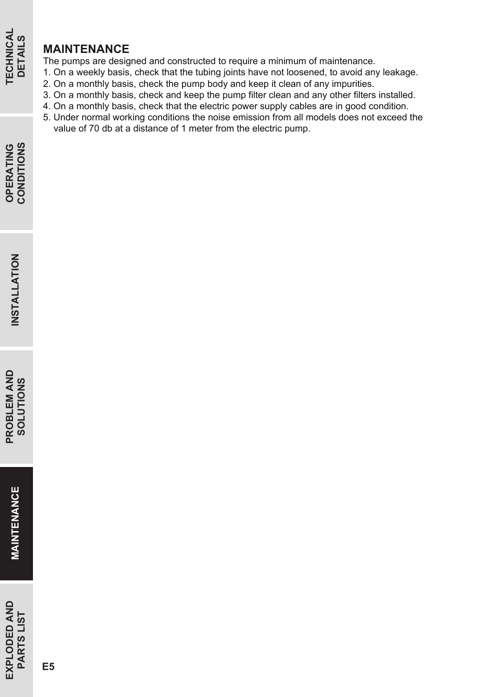#### **MAINTENANCE**

The pumps are designed and constructed to require a minimum of maintenance.

- 1. On a weekly basis, check that the tubing joints have not loosened, to avoid any leakage.
- 2. On a monthly basis, check the pump body and keep it clean of any impurities.
- 3. On a monthly basis, check and keep the pump filter clean and any other filters installed.
- 4. On a monthly basis, check that the electric power supply cables are in good condition.
- 5. Under normal working conditions the noise emission from all models does not exceed the value of 70 db at a distance of 1 meter from the electric pump.

**TECHNICAL DETAILS**

**TECHNICAL**<br>DETAILS

**EXPLODED AND**

EXPLODED AND<br>PARTS LIST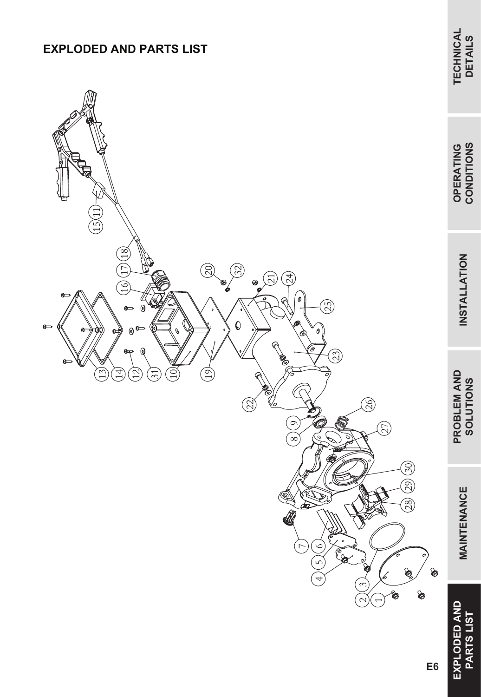### **EXPLODED AND PARTS LIST**